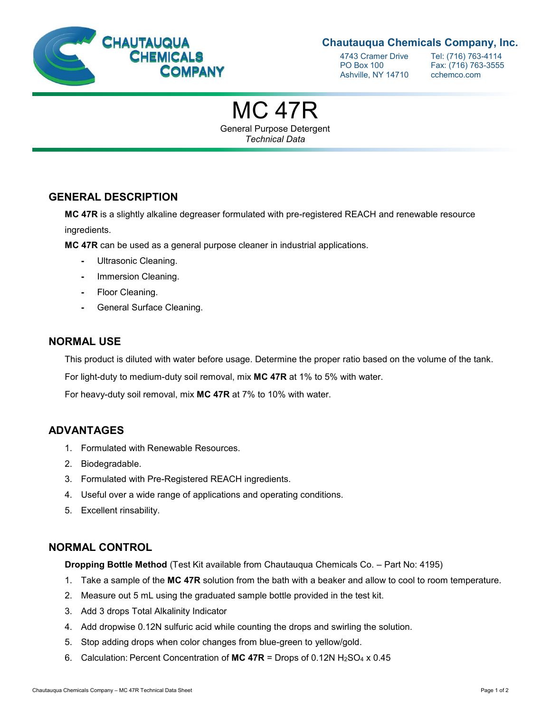

## **Chautauqua Chemicals Company, Inc.**

Ashville, NY 14710 cchemco.com

4743 Cramer Drive Tel: (716) 763-4114<br>PO Box 100 Fax: (716) 763-3555 Fax: (716) 763-3555

MC 47R

General Purpose Detergent *Technical Data*

## **GENERAL DESCRIPTION**

**MC 47R** is a slightly alkaline degreaser formulated with pre-registered REACH and renewable resource ingredients.

**MC 47R** can be used as a general purpose cleaner in industrial applications.

- **-** Ultrasonic Cleaning.
- **-** Immersion Cleaning.
- **-** Floor Cleaning.
- **-** General Surface Cleaning.

#### **NORMAL USE**

This product is diluted with water before usage. Determine the proper ratio based on the volume of the tank.

For light-duty to medium-duty soil removal, mix **MC 47R** at 1% to 5% with water.

For heavy-duty soil removal, mix **MC 47R** at 7% to 10% with water.

## **ADVANTAGES**

- 1. Formulated with Renewable Resources.
- 2. Biodegradable.
- 3. Formulated with Pre-Registered REACH ingredients.
- 4. Useful over a wide range of applications and operating conditions.
- 5. Excellent rinsability.

#### **NORMAL CONTROL**

**Dropping Bottle Method** (Test Kit available from Chautauqua Chemicals Co. – Part No: 4195)

- 1. Take a sample of the **MC 47R** solution from the bath with a beaker and allow to cool to room temperature.
- 2. Measure out 5 mL using the graduated sample bottle provided in the test kit.
- 3. Add 3 drops Total Alkalinity Indicator
- 4. Add dropwise 0.12N sulfuric acid while counting the drops and swirling the solution.
- 5. Stop adding drops when color changes from blue-green to yellow/gold.
- 6. Calculation: Percent Concentration of **MC 47R** = Drops of 0.12N H2SO<sup>4</sup> x 0.45